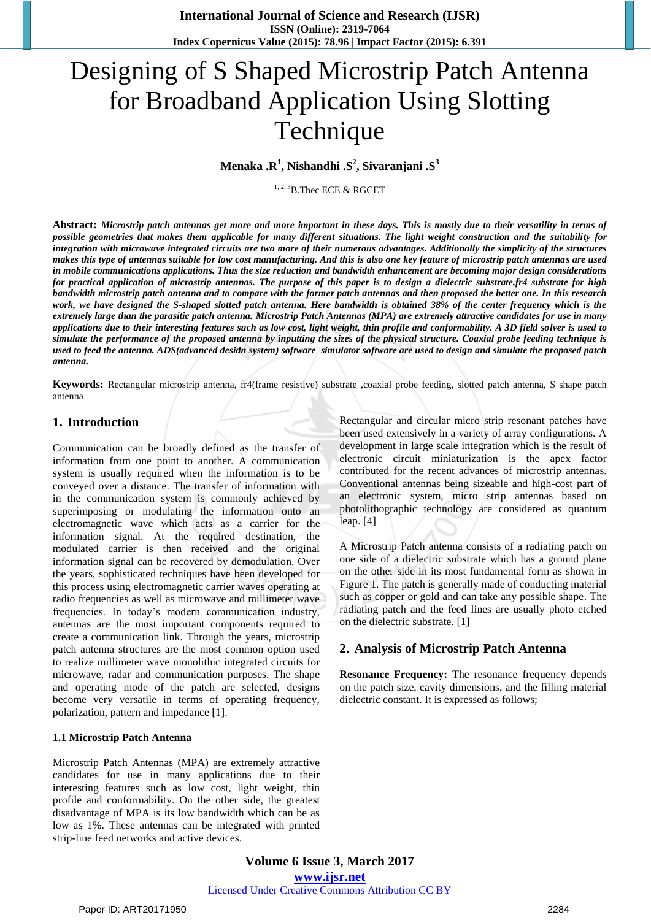# Designing of S Shaped Microstrip Patch Antenna for Broadband Application Using Slotting Technique

**Menaka .R 1 , Nishandhi .S 2 , Sivaranjani .S 3**

1, 2, 3B.Thec ECE & RGCET

**Abstract:** *Microstrip patch antennas get more and more important in these days. This is mostly due to their versatility in terms of possible geometries that makes them applicable for many different situations. The light weight construction and the suitability for integration with microwave integrated circuits are two more of their numerous advantages. Additionally the simplicity of the structures makes this type of antennas suitable for low cost manufacturing. And this is also one key feature of microstrip patch antennas are used in mobile communications applications. Thus the size reduction and bandwidth enhancement are becoming major design considerations for practical application of microstrip antennas. The purpose of this paper is to design a dielectric substrate,fr4 substrate for high bandwidth microstrip patch antenna and to compare with the former patch antennas and then proposed the better one. In this research work, we have designed the S-shaped slotted patch antenna. Here bandwidth is obtained 38% of the center frequency which is the extremely large than the parasitic patch antenna. Microstrip Patch Antennas (MPA) are extremely attractive candidates for use in many applications due to their interesting features such as low cost, light weight, thin profile and conformability. A 3D field solver is used to simulate the performance of the proposed antenna by inputting the sizes of the physical structure. Coaxial probe feeding technique is used to feed the antenna. ADS(advanced desidn system) software simulator software are used to design and simulate the proposed patch antenna.*

**Keywords:** Rectangular microstrip antenna, fr4(frame resistive) substrate ,coaxial probe feeding, slotted patch antenna, S shape patch antenna

#### **1. Introduction**

Communication can be broadly defined as the transfer of information from one point to another. A communication system is usually required when the information is to be conveyed over a distance. The transfer of information with in the communication system is commonly achieved by superimposing or modulating the information onto an electromagnetic wave which acts as a carrier for the information signal. At the required destination, the modulated carrier is then received and the original information signal can be recovered by demodulation. Over the years, sophisticated techniques have been developed for this process using electromagnetic carrier waves operating at radio frequencies as well as microwave and millimeter wave frequencies. In today's modern communication industry, antennas are the most important components required to create a communication link. Through the years, microstrip patch antenna structures are the most common option used to realize millimeter wave monolithic integrated circuits for microwave, radar and communication purposes. The shape and operating mode of the patch are selected, designs become very versatile in terms of operating frequency, polarization, pattern and impedance [1].

#### **1.1 Microstrip Patch Antenna**

Microstrip Patch Antennas (MPA) are extremely attractive candidates for use in many applications due to their interesting features such as low cost, light weight, thin profile and conformability. On the other side, the greatest disadvantage of MPA is its low bandwidth which can be as low as 1%. These antennas can be integrated with printed strip-line feed networks and active devices.

Rectangular and circular micro strip resonant patches have been used extensively in a variety of array configurations. A development in large scale integration which is the result of electronic circuit miniaturization is the apex factor contributed for the recent advances of microstrip antennas. Conventional antennas being sizeable and high-cost part of an electronic system, micro strip antennas based on photolithographic technology are considered as quantum leap. [4]

A Microstrip Patch antenna consists of a radiating patch on one side of a dielectric substrate which has a ground plane on the other side in its most fundamental form as shown in Figure 1. The patch is generally made of conducting material such as copper or gold and can take any possible shape. The radiating patch and the feed lines are usually photo etched on the dielectric substrate. [1]

#### **2. Analysis of Microstrip Patch Antenna**

**Resonance Frequency:** The resonance frequency depends on the patch size, cavity dimensions, and the filling material dielectric constant. It is expressed as follows;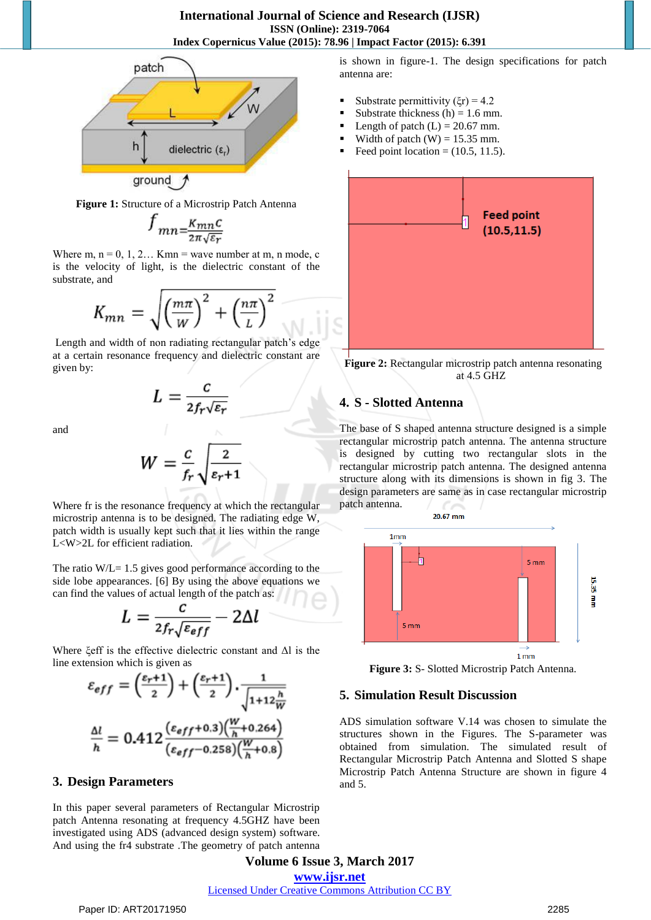

**Figure 1:** Structure of a Microstrip Patch Antenna

$$
f_{mn=\frac{K_{mn}C}{2\pi\sqrt{\varepsilon_r}}}
$$

Where m,  $n = 0, 1, 2...$  Kmn = wave number at m, n mode, c is the velocity of light, is the dielectric constant of the substrate, and

$$
K_{mn} = \sqrt{\left(\frac{m\pi}{W}\right)^2 + \left(\frac{n\pi}{L}\right)^2}
$$

Length and width of non radiating rectangular patch's edge at a certain resonance frequency and dielectric constant are given by:

$$
L=\frac{c}{2f_r\sqrt{\varepsilon_r}}
$$

and

$$
W = \frac{c}{f_r} \sqrt{\frac{2}{\varepsilon_r + 1}}
$$

Where fr is the resonance frequency at which the rectangular microstrip antenna is to be designed. The radiating edge W, patch width is usually kept such that it lies within the range L<W>2L for efficient radiation.

The ratio  $W/L = 1.5$  gives good performance according to the side lobe appearances. [6] By using the above equations we can find the values of actual length of the patch as:

$$
L = \frac{c}{2f_r\sqrt{\varepsilon_{eff}}} - 2\Delta
$$

Where ξeff is the effective dielectric constant and Δl is the line extension which is given as

$$
\varepsilon_{eff} = \left(\frac{\varepsilon_r + 1}{2}\right) + \left(\frac{\varepsilon_r + 1}{2}\right) \cdot \frac{1}{\sqrt{1 + 12\frac{h}{W}}}
$$

$$
\frac{\Delta l}{h} = 0.412 \frac{(\varepsilon_{eff} + 0.3) \left(\frac{W}{h} + 0.264\right)}{(\varepsilon_{eff} - 0.258) \left(\frac{W}{h} + 0.8\right)}
$$

#### **3. Design Parameters**

In this paper several parameters of Rectangular Microstrip patch Antenna resonating at frequency 4.5GHZ have been investigated using ADS (advanced design system) software. And using the fr4 substrate .The geometry of patch antenna is shown in figure-1. The design specifications for patch antenna are:

- Substrate permittivity  $(\xi r) = 4.2$
- Substrate thickness  $(h) = 1.6$  mm.
- Length of patch  $(L) = 20.67$  mm.
- Width of patch  $(W) = 15.35$  mm.
- Feed point location  $= (10.5, 11.5)$ .



**Figure 2:** Rectangular microstrip patch antenna resonating at 4.5 GHZ

# **4. S - Slotted Antenna**

The base of S shaped antenna structure designed is a simple rectangular microstrip patch antenna. The antenna structure is designed by cutting two rectangular slots in the rectangular microstrip patch antenna. The designed antenna structure along with its dimensions is shown in fig 3. The design parameters are same as in case rectangular microstrip patch antenna.



**Figure 3:** S- Slotted Microstrip Patch Antenna.

#### **5. Simulation Result Discussion**

ADS simulation software V.14 was chosen to simulate the structures shown in the Figures. The S-parameter was obtained from simulation. The simulated result of Rectangular Microstrip Patch Antenna and Slotted S shape Microstrip Patch Antenna Structure are shown in figure 4 and 5.

**Volume 6 Issue 3, March 2017 www.ijsr.net** Licensed Under Creative Commons Attribution CC BY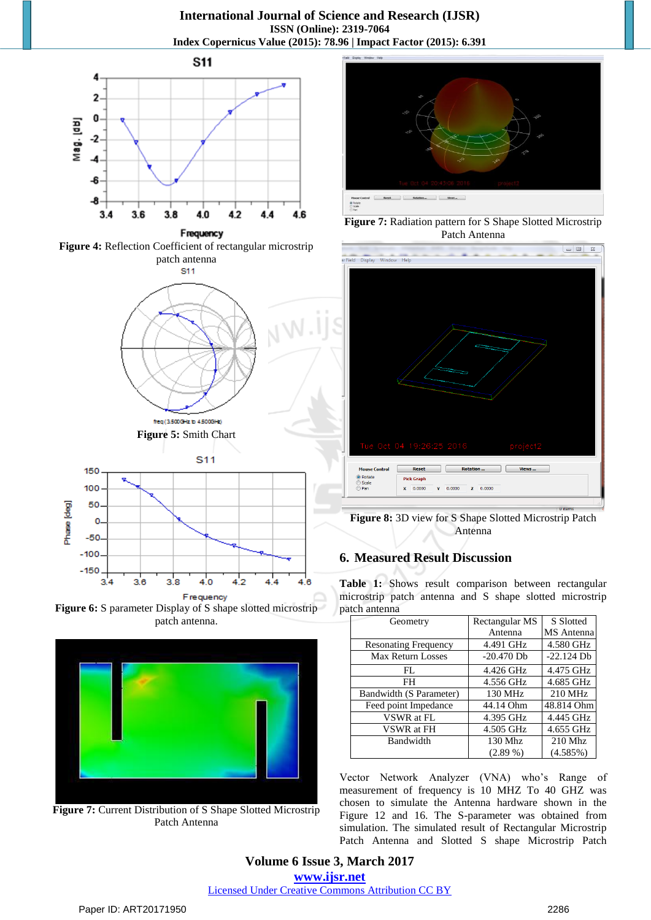**International Journal of Science and Research (IJSR) ISSN (Online): 2319-7064 Index Copernicus Value (2015): 78.96 | Impact Factor (2015): 6.391**









**Figure 6:** S parameter Display of S shape slotted microstrip patch antenna.



**Figure 7:** Current Distribution of S Shape Slotted Microstrip Patch Antenna



**Figure 7:** Radiation pattern for S Shape Slotted Microstrip Patch Antenna



**Figure 8:** 3D view for S Shape Slotted Microstrip Patch Antenna

#### **6. Measured Result Discussion**

**Table 1:** Shows result comparison between rectangular microstrip patch antenna and S shape slotted microstrip patch antenna

| Geometry                    | Rectangular MS | S Slotted    |
|-----------------------------|----------------|--------------|
|                             | Antenna        | MS Antenna   |
| <b>Resonating Frequency</b> | 4.491 GHz      | 4.580 GHz    |
| Max Return Losses           | $-20.470$ Db   | $-22.124$ Db |
| FL.                         | 4.426 GHz      | 4.475 GHz    |
| FH                          | 4.556 GHz      | 4.685 GHz    |
| Bandwidth (S Parameter)     | 130 MHz        | 210 MHz      |
| Feed point Impedance        | 44.14 Ohm      | 48.814 Ohm   |
| <b>VSWR</b> at FL           | 4.395 GHz      | 4.445 GHz    |
| VSWR at FH                  | 4.505 GHz      | 4.655 GHz    |
| Bandwidth                   | 130 Mhz        | $210$ Mhz    |
|                             | $(2.89\%)$     | (4.585%)     |

Vector Network Analyzer (VNA) who's Range of measurement of frequency is 10 MHZ To 40 GHZ was chosen to simulate the Antenna hardware shown in the Figure 12 and 16. The S-parameter was obtained from simulation. The simulated result of Rectangular Microstrip Patch Antenna and Slotted S shape Microstrip Patch

#### **Volume 6 Issue 3, March 2017 www.ijsr.net** Licensed Under Creative Commons Attribution CC BY